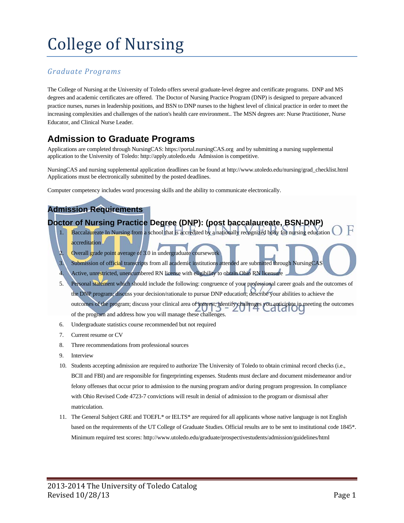# College of Nursing

#### *Graduate Programs*

The College of Nursing at the University of Toledo offers several graduate-level degree and certificate programs. DNP and MS degrees and academic certificates are offered. The Doctor of Nursing Practice Program (DNP) is designed to prepare advanced practice nurses, nurses in leadership positions, and BSN to DNP nurses to the highest level of clinical practice in order to meet the increasing complexities and challenges of the nation's health care environment.. The MSN degrees are: Nurse Practitioner, Nurse Educator, and Clinical Nurse Leader.

### **Admission to Graduate Programs**

Applications are completed through NursingCAS: https://portal.nursingCAS.org and by submitting a nursing supplemental application to the University of Toledo: http://apply.utoledo.edu Admission is competitive.

NursingCAS and nursing supplemental application deadlines can be found at http://www.utoledo.edu/nursing/grad\_checklist.html Applications must be electronically submitted by the posted deadlines.

Computer competency includes word processing skills and the ability to communicate electronically.

#### **Admission Requirements**

#### **Doctor of Nursing Practice Degree (DNP): (post baccalaureate, BSN-DNP)**

- Baccalaureate In Nursing from a school that is accredited by a nationally recognized body for nursing education accreditation
- Overall grade point average of 3.0 in undergraduate coursework
- Submission of official transcripts from all academic institutions attended are submitted through NursingCAS
- Active, unrestricted, unencumbered RN license with eligibility to obtain Ohio RN licensure
- 5. Personal statement which should include the following: congruence of your professional career goals and the outcomes of the DNP program; discuss your decision/rationale to pursue DNP education; describe your abilities to achieve the outcomes of the program; discuss your clinical area of interest; identify challenges you anticipate in meeting the outcomes of the program and address how you will manage these challenges.
- 6. Undergraduate statistics course recommended but not required
- 7. Current resume or CV
- 8. Three recommendations from professional sources
- 9. Interview
- 10. Students accepting admission are required to authorize The University of Toledo to obtain criminal record checks (i.e., BCII and FBI) and are responsible for fingerprinting expenses. Students must declare and document misdemeanor and/or felony offenses that occur prior to admission to the nursing program and/or during program progression. In compliance with Ohio Revised Code 4723-7 convictions will result in denial of admission to the program or dismissal after matriculation.
- 11. The General Subject GRE and TOEFL\* or IELTS\* are required for all applicants whose native language is not English based on the requirements of the UT College of Graduate Studies. Official results are to be sent to institutional code 1845\*. Minimum required test scores: http://www.utoledo.edu/graduate/prospectivestudents/admission/guidelines/html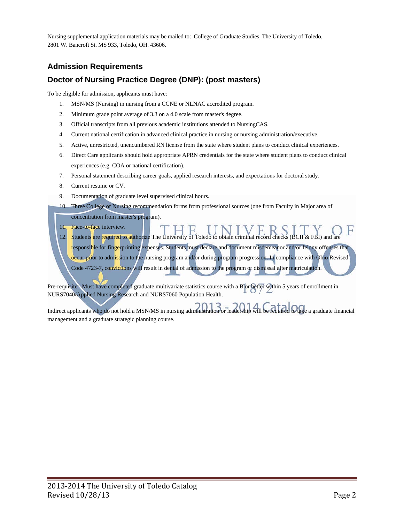Nursing supplemental application materials may be mailed to: College of Graduate Studies, The University of Toledo, 2801 W. Bancroft St. MS 933, Toledo, OH. 43606.

#### **Admission Requirements**

#### **Doctor of Nursing Practice Degree (DNP): (post masters)**

To be eligible for admission, applicants must have:

- 1. MSN/MS (Nursing) in nursing from a CCNE or NLNAC accredited program.
- 2. Minimum grade point average of 3.3 on a 4.0 scale from master's degree.
- 3. Official transcripts from all previous academic institutions attended to NursingCAS.
- 4. Current national certification in advanced clinical practice in nursing or nursing administration/executive.
- 5. Active, unrestricted, unencumbered RN license from the state where student plans to conduct clinical experiences.
- 6. Direct Care applicants should hold appropriate APRN credentials for the state where student plans to conduct clinical experiences (e.g. COA or national certification).
- 7. Personal statement describing career goals, applied research interests, and expectations for doctoral study.
- 8. Current resume or CV.
- 9. Documentation of graduate level supervised clinical hours.
- 10. Three College of Nursing recommendation forms from professional sources (one from Faculty in Major area of concentration from master's program).
- 
- 11. Face-to-face interview. 12. Students are required to authorize The University of Toledo to obtain criminal record checks (BCII & FBI) and are

responsible for fingerprinting expenses. Students must declare and document misdemeanor and/or felony offenses that occur prior to admission to the nursing program and/or during program progression. In compliance with Ohio Revised Code 4723-7, convictions will result in denial of admission to the program or dismissal after matriculation.

Pre-requisite: Must have completed graduate multivariate statistics course with a B or better within 5 years of enrollment in NURS7040/Applied Nursing Research and NURS7060 Population Health.

Indirect applicants who do not hold a MSN/MS in nursing administration or leadership will be required to take a graduate financial management and a graduate strategic planning course.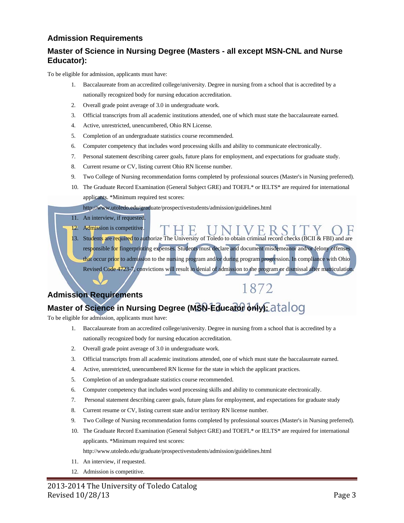#### **Admission Requirements**

#### **Master of Science in Nursing Degree (Masters - all except MSN-CNL and Nurse Educator):**

To be eligible for admission, applicants must have:

- 1. Baccalaureate from an accredited college/university. Degree in nursing from a school that is accredited by a nationally recognized body for nursing education accreditation.
- 2. Overall grade point average of 3.0 in undergraduate work.
- 3. Official transcripts from all academic institutions attended, one of which must state the baccalaureate earned.
- 4. Active, unrestricted, unencumbered, Ohio RN License.
- 5. Completion of an undergraduate statistics course recommended.
- 6. Computer competency that includes word processing skills and ability to communicate electronically.
- 7. Personal statement describing career goals, future plans for employment, and expectations for graduate study.
- 8. Current resume or CV, listing current Ohio RN license number.
- 9. Two College of Nursing recommendation forms completed by professional sources (Master's in Nursing preferred).
- 10. The Graduate Record Examination (General Subject GRE) and TOEFL\* or IELTS\* are required for international applicants. \*Minimum required test scores:
	- http://www.utoledo.edu/graduate/prospectivestudents/admission/guidelines.html
- 11. An interview, if requested.
- 12. Admission is competitive.

13. Students are required to authorize The University of Toledo to obtain criminal record checks (BCII & FBI) and are responsible for fingerprinting expenses. Students must declare and document misdemeanor and/or felony offenses that occur prior to admission to the nursing program and/or during program progression. In compliance with Ohio Revised Code 4723-7, convictions will result in denial of admission to the program or dismissal after matriculation.

1872

#### **Admission Requirements**

## Master of Science in Nursing Degree (MSN-Educator only Catalog

To be eligible for admission, applicants must have:

- 1. Baccalaureate from an accredited college/university. Degree in nursing from a school that is accredited by a nationally recognized body for nursing education accreditation.
- 2. Overall grade point average of 3.0 in undergraduate work.
- 3. Official transcripts from all academic institutions attended, one of which must state the baccalaureate earned.
- 4. Active, unrestricted, unencumbered RN license for the state in which the applicant practices.
- 5. Completion of an undergraduate statistics course recommended.
- 6. Computer competency that includes word processing skills and ability to communicate electronically.
- 7. Personal statement describing career goals, future plans for employment, and expectations for graduate study
- 8. Current resume or CV, listing current state and/or territory RN license number.
- 9. Two College of Nursing recommendation forms completed by professional sources (Master's in Nursing preferred).
- 10. The Graduate Record Examination (General Subject GRE) and TOEFL\* or IELTS\* are required for international applicants. \*Minimum required test scores:

http://www.utoledo.edu/graduate/prospectivestudents/admission/guidelines.html

- 11. An interview, if requested.
- 12. Admission is competitive.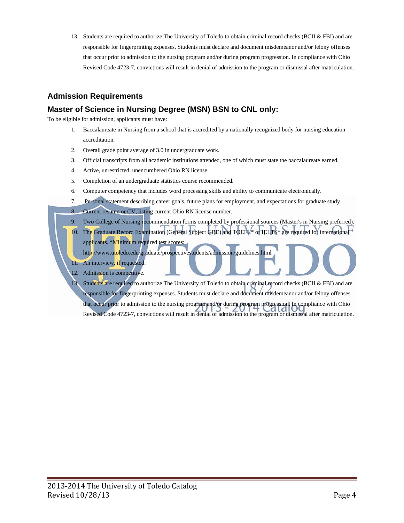13. Students are required to authorize The University of Toledo to obtain criminal record checks (BCII & FBI) and are responsible for fingerprinting expenses. Students must declare and document misdemeanor and/or felony offenses that occur prior to admission to the nursing program and/or during program progression. In compliance with Ohio Revised Code 4723-7, convictions will result in denial of admission to the program or dismissal after matriculation.

#### **Admission Requirements**

#### **Master of Science in Nursing Degree (MSN) BSN to CNL only:**

To be eligible for admission, applicants must have:

- 1. Baccalaureate in Nursing from a school that is accredited by a nationally recognized body for nursing education accreditation.
- 2. Overall grade point average of 3.0 in undergraduate work.
- 3. Official transcripts from all academic institutions attended, one of which must state the baccalaureate earned.
- 4. Active, unrestricted, unencumbered Ohio RN license.
- 5. Completion of an undergraduate statistics course recommended.
- 6. Computer competency that includes word processing skills and ability to communicate electronically.
- 7. Personal statement describing career goals, future plans for employment, and expectations for graduate study
- 8. Current resume or CV, listing current Ohio RN license number.
- 9. Two College of Nursing recommendation forms completed by professional sources (Master's in Nursing preferred).
- 10. The Graduate Record Examination (General Subject GRE) and TOEFL\* or IELTS\* are required for international applicants. \*Minimum required test scores: http://www.utoledo.edu/graduate/prospectivestudents/admission/guidelines.html
- 11. An interview, if requested.
- 12. Admission is competitive.

13. Students are required to authorize The University of Toledo to obtain criminal record checks (BCII & FBI) and are responsible for fingerprinting expenses. Students must declare and document misdemeanor and/or felony offenses that occur prior to admission to the nursing program and/or during program progression. In compliance with Ohio Revised Code 4723-7, convictions will result in denial of admission to the program or dismissal after matriculation.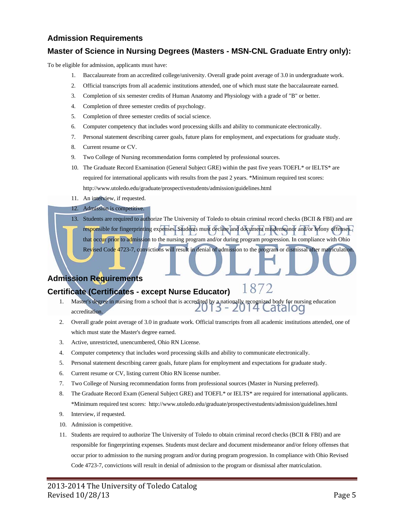#### **Admission Requirements**

#### **Master of Science in Nursing Degrees (Masters - MSN-CNL Graduate Entry only):**

To be eligible for admission, applicants must have:

- 1. Baccalaureate from an accredited college/university. Overall grade point average of 3.0 in undergraduate work.
- 2. Official transcripts from all academic institutions attended, one of which must state the baccalaureate earned.
- 3. Completion of six semester credits of Human Anatomy and Physiology with a grade of "B" or better.
- 4. Completion of three semester credits of psychology.
- 5. Completion of three semester credits of social science.
- 6. Computer competency that includes word processing skills and ability to communicate electronically.
- 7. Personal statement describing career goals, future plans for employment, and expectations for graduate study.
- 8. Current resume or CV.
- 9. Two College of Nursing recommendation forms completed by professional sources.
- 10. The Graduate Record Examination (General Subject GRE) within the past five years TOEFL\* or IELTS\* are required for international applicants with results from the past 2 years. \*Minimum required test scores: http://www.utoledo.edu/graduate/prospectivestudents/admission/guidelines.html
- 11. An interview, if requested.

#### 12. Admission is competitive.

13. Students are required to authorize The University of Toledo to obtain criminal record checks (BCII & FBI) and are responsible for fingerprinting expenses. Students must declare and document misdemeanor and/or felony offenses that occur prior to admission to the nursing program and/or during program progression. In compliance with Ohio Revised Code 4723-7, convictions will result in denial of admission to the program or dismissal after matriculation.

#### **Admission Requirements**

#### 1872 **Certificate (Certificates - except Nurse Educator)**

- 1. Master's degree in nursing from a school that is accredited by a nationally recognized body for nursing education<br> $2013 2014$  Cataloc accreditation.
- 2. Overall grade point average of 3.0 in graduate work. Official transcripts from all academic institutions attended, one of which must state the Master's degree earned.
- 3. Active, unrestricted, unencumbered, Ohio RN License.
- 4. Computer competency that includes word processing skills and ability to communicate electronically.
- 5. Personal statement describing career goals, future plans for employment and expectations for graduate study.
- 6. Current resume or CV, listing current Ohio RN license number.
- 7. Two College of Nursing recommendation forms from professional sources (Master in Nursing preferred).
- 8. The Graduate Record Exam (General Subject GRE) and TOEFL\* or IELTS\* are required for international applicants. \*Minimum required test scores: http://www.utoledo.edu/graduate/prospectivestudents/admission/guidelines.html
- 9. Interview, if requested.
- 10. Admission is competitive.
- 11. Students are required to authorize The University of Toledo to obtain criminal record checks (BCII & FBI) and are responsible for fingerprinting expenses. Students must declare and document misdemeanor and/or felony offenses that occur prior to admission to the nursing program and/or during program progression. In compliance with Ohio Revised Code 4723-7, convictions will result in denial of admission to the program or dismissal after matriculation.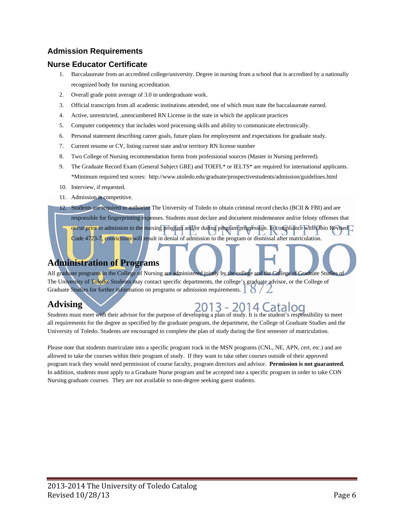#### **Admission Requirements**

#### **Nurse Educator Certificate**

- 1. Baccalaureate from an accredited college/university. Degree in nursing from a school that is accredited by a nationally recognized body for nursing accreditation.
- 2. Overall grade point average of 3.0 in undergraduate work.
- 3. Official transcripts from all academic institutions attended, one of which must state the baccalaureate earned.
- 4. Active, unrestricted, ,unencumbered RN License in the state in which the applicant practices
- 5. Computer competency that includes word processing skills and ability to communicate electronically.
- 6. Personal statement describing career goals, future plans for employment and expectations for graduate study.
- 7. Current resume or CV, listing current state and/or territory RN license number
- 8. Two College of Nursing recommendation forms from professional sources (Master in Nursing preferred).
- 9. The Graduate Record Exam (General Subject GRE) and TOEFL\* or IELTS\* are required for international applicants. \*Minimum required test scores: http://www.utoledo.edu/graduate/prospectivestudents/admission/guidelines.html
- 10. Interview, if requested.
- 11. Admission is competitive.
- 12. Students are required to authorize The University of Toledo to obtain criminal record checks (BCII & FBI) and are
	- responsible for fingerprinting expenses. Students must declare and document misdemeanor and/or felony offenses that

occur prior to admission to the nursing program and/or during program progression. In compliance with Ohio Revised Code 4723-7, convictions will result in denial of admission to the program or dismissal after matriculation.

#### **Administration of Programs**

All graduate programs in the College of Nursing are administered jointly by the college and the College of Graduate Studies The University of Toledo. Students may contact specific departments, the college's graduate advisor, or the College of Graduate Studies for further information on programs or admission requirements.  $\bigcup_{n=1}^{\infty}$ 

#### **Advising**

Students must meet with their advisor for the purpose of developing a plan of study. It is the student's responsibility to meet all requirements for the degree as specified by the graduate program, the department, the College of Graduate Studies and the University of Toledo. Students are encouraged to complete the plan of study during the first semester of matriculation.

Please note that students matriculate into a specific program track in the MSN programs (CNL, NE, APN, cert, etc.) and are allowed to take the courses within their program of study. If they want to take other courses outside of their approved program track they would need permission of course faculty, program directors and advisor. **Permission is not guaranteed.** In addition, students must apply to a Graduate Nurse program and be accepted into a specific program in order to take CON Nursing graduate courses. They are not available to non-degree seeking guest students.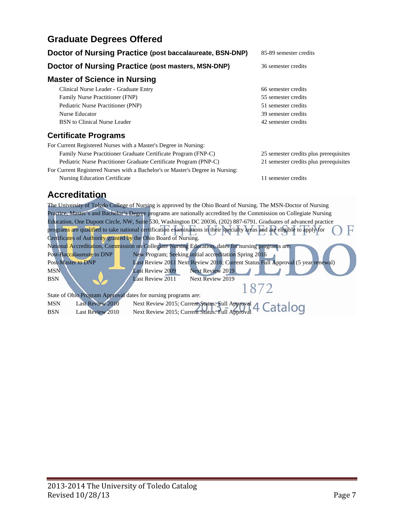#### **Graduate Degrees Offered**

| Doctor of Nursing Practice (post baccalaureate, BSN-DNP)                       | 85-89 semester credits                 |  |
|--------------------------------------------------------------------------------|----------------------------------------|--|
| Doctor of Nursing Practice (post masters, MSN-DNP)                             | 36 semester credits                    |  |
| <b>Master of Science in Nursing</b>                                            |                                        |  |
| Clinical Nurse Leader - Graduate Entry                                         | 66 semester credits                    |  |
| Family Nurse Practitioner (FNP)                                                | 55 semester credits                    |  |
| Pediatric Nurse Practitioner (PNP)                                             | 51 semester credits                    |  |
| Nurse Educator                                                                 | 39 semester credits                    |  |
| BSN to Clinical Nurse Leader                                                   | 42 semester credits                    |  |
| <b>Certificate Programs</b>                                                    |                                        |  |
| For Current Registered Nurses with a Master's Degree in Nursing:               |                                        |  |
| Family Nurse Practitioner Graduate Certificate Program (FNP-C)                 | 25 semester credits plus prerequisites |  |
| Pediatric Nurse Practitioner Graduate Certificate Program (PNP-C)              | 21 semester credits plus prerequisites |  |
| For Current Registered Nurses with a Bachelor's or Master's Degree in Nursing: |                                        |  |
| Nursing Education Certificate                                                  | 11 semester credits                    |  |

#### **Accreditation**

The University of Toledo College of Nursing is approved by the Ohio Board of Nursing. The MSN-Doctor of Nursing Practice, Master's and Bachelor's Degree programs are nationally accredited by the Commission on Collegiate Nursing Education, One Dupont Circle, NW, Suite 530, Washington DC 20036, (202) 887-6791. Graduates of advanced practice programs are qualified to take national certification examinations in their specialty areas and are eligible to apply for H Certificates of Authority granted by the Ohio Board of Nursing. National Accreditation, Commission on Collegiate Nursing Education, dates for nursing programs are: Post-Baccalaureate to DNP New Program; Seeking initial accreditation Spring 2016 Post-Master to DNP Last Review 2011 Next Review 2016; Current Status Full Approval (5 year renewal) MSN Last Review 2009 Next Review 2019 BSN Last Review 2011 Next Review 2019 1872 State of Ohio Program Approval dates for nursing programs are: MSN Last Review 2010 Next Review 2015; Current Status: Full Approval BSN Last Review 2010 Next Review 2015; Current Status: Full Approval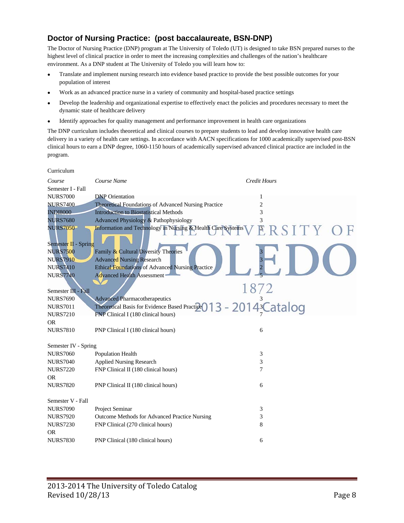#### **Doctor of Nursing Practice: (post baccalaureate, BSN-DNP)**

Curriculum

The Doctor of Nursing Practice (DNP) program at The University of Toledo (UT) is designed to take BSN prepared nurses to the highest level of clinical practice in order to meet the increasing complexities and challenges of the nation's healthcare environment. As a DNP student at The University of Toledo you will learn how to:

- Translate and implement nursing research into evidence based practice to provide the best possible outcomes for your population of interest
- Work as an advanced practice nurse in a variety of community and hospital-based practice settings
- Develop the leadership and organizational expertise to effectively enact the policies and procedures necessary to meet the dynamic state of healthcare delivery
- Identify approaches for quality management and performance improvement in health care organizations

The DNP curriculum includes theoretical and clinical courses to prepare students to lead and develop innovative health care delivery in a variety of health care settings. In accordance with AACN specifications for 1000 academically supervised post-BSN clinical hours to earn a DNP degree, 1060-1150 hours of academically supervised advanced clinical practice are included in the program.

| Course               | Course Name                                                 | <b>Credit Hours</b>        |
|----------------------|-------------------------------------------------------------|----------------------------|
| Semester I - Fall    |                                                             |                            |
| <b>NURS7000</b>      | <b>DNP</b> Orientation                                      |                            |
| <b>NURS7400</b>      | Theoretical Foundations of Advanced Nursing Practice        | 2                          |
| <b>INDI8000</b>      | <b>Introduction to Biostatistical Methods</b>               | 3                          |
| <b>NURS7680</b>      | Advanced Physiology & Pathophysiology                       | 3                          |
| <b>NURS7050</b>      | Information and Technology in Nursing & Health Care Systems | ERSITY                     |
|                      |                                                             |                            |
| Semester II - Spring |                                                             |                            |
| <b>NURS7500</b>      | Family & Cultural Diversity Theories                        |                            |
| <b>NURS7910</b>      | <b>Advanced Nursing Research</b>                            |                            |
| <b>NURS7410</b>      | <b>Ethical Foundations of Advanced Nursing Practice</b>     |                            |
| <b>NURS7740</b>      | <b>Advanced Health Assessment</b>                           |                            |
|                      |                                                             |                            |
| Semester III - Fall  |                                                             | 1872                       |
| <b>NURS7690</b>      | <b>Advanced Pharmacotherapeutics</b>                        |                            |
| <b>NURS7011</b>      | Theoretical Basis for Evidence Based Practice               | -2014 <sup>3</sup> Catalog |
| <b>NURS7210</b>      | FNP Clinical I (180 clinical hours)                         |                            |
| <b>OR</b>            |                                                             |                            |
| <b>NURS7810</b>      | PNP Clinical I (180 clinical hours)                         | 6                          |
|                      |                                                             |                            |
| Semester IV - Spring |                                                             |                            |
| <b>NURS7060</b>      | Population Health                                           | 3                          |
| <b>NURS7040</b>      | <b>Applied Nursing Research</b>                             | 3                          |
| <b>NURS7220</b>      | FNP Clinical II (180 clinical hours)                        | 7                          |
| <b>OR</b>            |                                                             |                            |
| <b>NURS7820</b>      | PNP Clinical II (180 clinical hours)                        | 6                          |
|                      |                                                             |                            |
| Semester V - Fall    |                                                             |                            |
| <b>NURS7090</b>      | Project Seminar                                             | 3                          |
| <b>NURS7920</b>      | Outcome Methods for Advanced Practice Nursing               | 3                          |
| <b>NURS7230</b>      | FNP Clinical (270 clinical hours)                           | 8                          |
| <b>OR</b>            |                                                             |                            |
| <b>NURS7830</b>      | PNP Clinical (180 clinical hours)                           | 6                          |
|                      |                                                             |                            |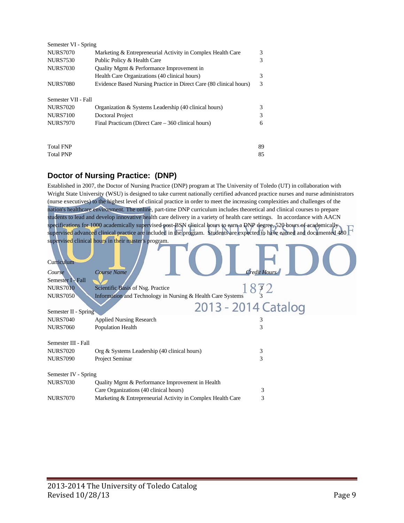| Semester VI - Spring |                                                                    |    |
|----------------------|--------------------------------------------------------------------|----|
| <b>NURS7070</b>      | Marketing & Entrepreneurial Activity in Complex Health Care        | 3  |
| <b>NURS7530</b>      | Public Policy & Health Care                                        | 3  |
| <b>NURS7030</b>      | Quality Mgmt & Performance Improvement in                          |    |
|                      | Health Care Organizations (40 clinical hours)                      | 3  |
| <b>NURS7080</b>      | Evidence Based Nursing Practice in Direct Care (80 clinical hours) | 3  |
| Semester VII - Fall  |                                                                    |    |
| <b>NURS7020</b>      | Organization & Systems Leadership (40 clinical hours)              | 3  |
| <b>NURS7100</b>      | Doctoral Project                                                   | 3  |
| <b>NURS7970</b>      | Final Practicum (Direct Care – 360 clinical hours)                 | 6  |
| <b>Total FNP</b>     |                                                                    | 89 |
| <b>Total PNP</b>     |                                                                    | 85 |
|                      |                                                                    |    |

#### **Doctor of Nursing Practice: (DNP)**

Established in 2007, the Doctor of Nursing Practice (DNP) program at The University of Toledo (UT) in collaboration with Wright State University (WSU) is designed to take current nationally certified advanced practice nurses and nurse administrators (nurse executives) to the highest level of clinical practice in order to meet the increasing complexities and challenges of the nation's healthcare environment. The online, part-time DNP curriculum includes theoretical and clinical courses to prepare students to lead and develop innovative health care delivery in a variety of health care settings. In accordance with AACN specifications for 1000 academically supervised post-BSN clinical hours to earn a DNP degree, 520 hours of academically supervised advanced clinical practice are included in the program. Students are expected to have earned and documented 480 supervised clinical hours in their master's program.

| Curriculum           |                                                             |                     |
|----------------------|-------------------------------------------------------------|---------------------|
| Course               | <b>Course Name</b>                                          | <b>Credit Hours</b> |
| Semester I - Fall    |                                                             |                     |
| <b>NURS7010</b>      | Scientific Basis of Nsg. Practice                           | 872                 |
| <b>NURS7050</b>      | Information and Technology in Nursing & Health Care Systems |                     |
|                      | 2013 - 2014 Catalog                                         |                     |
| Semester II - Spring |                                                             |                     |
| <b>NURS7040</b>      | <b>Applied Nursing Research</b>                             | 3                   |
| <b>NURS7060</b>      | Population Health                                           | 3                   |
| Semester III - Fall  |                                                             |                     |
| <b>NURS7020</b>      | Org & Systems Leadership (40 clinical hours)                | 3                   |
| <b>NURS7090</b>      | Project Seminar                                             | 3                   |
| Semester IV - Spring |                                                             |                     |
| <b>NURS7030</b>      | Quality Mgmt & Performance Improvement in Health            |                     |
|                      | Care Organizations (40 clinical hours)                      | 3                   |
| <b>NURS7070</b>      | Marketing & Entrepreneurial Activity in Complex Health Care | 3                   |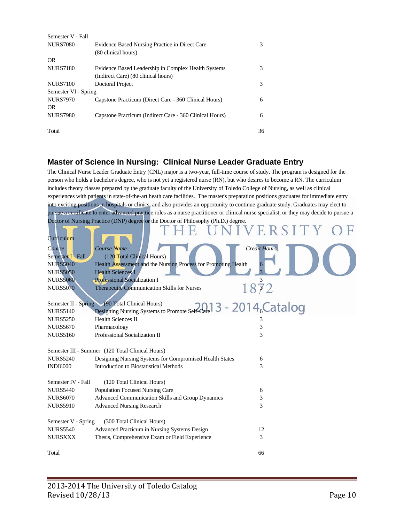| Semester V - Fall    |                                                         |    |
|----------------------|---------------------------------------------------------|----|
| <b>NURS7080</b>      | Evidence Based Nursing Practice in Direct Care          | 3  |
|                      | (80 clinical hours)                                     |    |
| OR.                  |                                                         |    |
| <b>NURS7180</b>      | Evidence Based Leadership in Complex Health Systems     | 3  |
|                      | (Indirect Care) (80 clinical hours)                     |    |
| <b>NURS7100</b>      | Doctoral Project                                        | 3  |
| Semester VI - Spring |                                                         |    |
| <b>NURS7970</b>      | Capstone Practicum (Direct Care - 360 Clinical Hours)   | 6  |
| OR.                  |                                                         |    |
| <b>NURS7980</b>      | Capstone Practicum (Indirect Care - 360 Clinical Hours) | 6  |
| Total                |                                                         | 36 |

#### **Master of Science in Nursing: Clinical Nurse Leader Graduate Entry**

The Clinical Nurse Leader Graduate Entry (CNL) major is a two-year, full-time course of study. The program is designed for the person who holds a bachelor's degree, who is not yet a registered nurse (RN), but who desires to become a RN. The curriculum includes theory classes prepared by the graduate faculty of the University of Toledo College of Nursing, as well as clinical experiences with patients in state-of-the-art heath care facilities. The master's preparation positions graduates for immediate entry into exciting positions in hospitals or clinics, and also provides an opportunity to continue graduate study. Graduates may elect to pursue a certificate to enter advanced practice roles as a nurse practitioner or clinical nurse specialist, or they may decide to pursue a Doctor of Nursing Practice (DNP) degree or the Doctor of Philosophy (Ph.D.) degree. **Curriculum Course Course Name Course Name Credit Hours Credit Hours Credit Hours Credit Hours Credit Hours Credit Hours** Semester I - Fall (120 Total Clinical Hours) NURS5040 Health Assessment and the Nursing Process for Promoting Health NURS5050 Health Sciences I NURS5060 Professional Socialization I<br>NURS5070 Therapeutic Communication Skills for Nurses  $\begin{array}{c} 3 \\ 3 \end{array}$ NURS5070 Therapeutic Communication Skills for Nurses Semester II - Spring (90 Total Clinical Hours) NURS5140 Designing Nursing Systems to Promote Self-Care  $\sim$  46 NURS5250 Health Sciences II 3 NURS5670 Pharmacology 3 NURS5160 Professional Socialization II 3 Semester III - Summer (120 Total Clinical Hours) NURS5240 Designing Nursing Systems for Compromised Health States 6 INDI6000 Introduction to Biostatistical Methods 3 Semester IV - Fall (120 Total Clinical Hours) NURS5440 Population Focused Nursing Care 6 NURS6070 Advanced Communication Skills and Group Dynamics 3 NURS5910 Advanced Nursing Research 3 Semester V - Spring (300 Total Clinical Hours) NURS5540 Advanced Practicum in Nursing Systems Design 12 NURSXXX Thesis, Comprehensive Exam or Field Experience 3

Total 66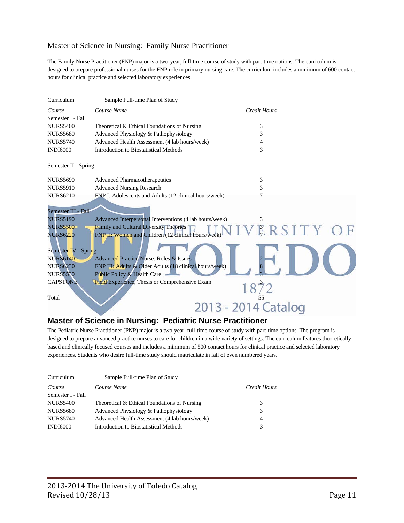#### Master of Science in Nursing: Family Nurse Practitioner

The Family Nurse Practitioner (FNP) major is a two-year, full-time course of study with part-time options. The curriculum is designed to prepare professional nurses for the FNP role in primary nursing care. The curriculum includes a minimum of 600 contact hours for clinical practice and selected laboratory experiences.

| Curriculum           | Sample Full-time Plan of Study                          |                     |
|----------------------|---------------------------------------------------------|---------------------|
| Course               | Course Name                                             | Credit Hours        |
| Semester I - Fall    |                                                         |                     |
| <b>NURS5400</b>      | Theoretical & Ethical Foundations of Nursing            | 3                   |
| <b>NURS5680</b>      | Advanced Physiology & Pathophysiology                   | 3                   |
| <b>NURS5740</b>      | Advanced Health Assessment (4 lab hours/week)           | 4                   |
| <b>INDI6000</b>      | Introduction to Biostatistical Methods                  | 3                   |
| Semester II - Spring |                                                         |                     |
| <b>NURS5690</b>      | <b>Advanced Pharmacotherapeutics</b>                    | 3                   |
| <b>NURS5910</b>      | <b>Advanced Nursing Research</b>                        | 3                   |
| <b>NURS6210</b>      | FNP I: Adolescents and Adults (12 clinical hours/week)  | 7                   |
| Semester III - Fall  |                                                         |                     |
| <b>NURS5190</b>      | Advanced Interpersonal Interventions (4 lab hours/week) | 3                   |
| <b>NURS5500</b>      | Family and Cultural Diversity Theories                  | ERSITY OF           |
| <b>NURS6220</b>      | FNP II: Women and Children (12 clinical hours/week)     |                     |
|                      |                                                         |                     |
| Semester IV - Spring |                                                         |                     |
| <b>NURS6140</b>      | <b>Advanced Practice Nurse: Roles &amp; Issues</b>      |                     |
| <b>NURS6230</b>      | FNP III: Adults & Older Adults (18 clinical hours/week) |                     |
| <b>NURS5530</b>      | Public Policy & Health Care                             |                     |
| <b>CAPSTONE</b>      | Field Experience, Thesis or Comprehensive Exam          |                     |
|                      |                                                         |                     |
| Total                |                                                         |                     |
|                      |                                                         | 2013 - 2014 Catalog |
|                      |                                                         |                     |

#### **Master of Science in Nursing: Pediatric Nurse Practitioner**

The Pediatric Nurse Practitioner (PNP) major is a two-year, full-time course of study with part-time options. The program is designed to prepare advanced practice nurses to care for children in a wide variety of settings. The curriculum features theoretically based and clinically focused courses and includes a minimum of 500 contact hours for clinical practice and selected laboratory experiences. Students who desire full-time study should matriculate in fall of even numbered years.

| Curriculum        | Sample Full-time Plan of Study                |              |
|-------------------|-----------------------------------------------|--------------|
| Course            | Course Name                                   | Credit Hours |
| Semester I - Fall |                                               |              |
| <b>NURS5400</b>   | Theoretical & Ethical Foundations of Nursing  | 3            |
| <b>NURS5680</b>   | Advanced Physiology & Pathophysiology         | 3            |
| <b>NURS5740</b>   | Advanced Health Assessment (4 lab hours/week) | 4            |
| <b>INDI6000</b>   | Introduction to Biostatistical Methods        | 3            |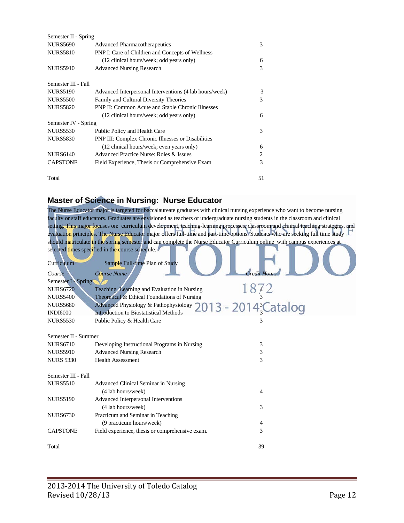| Semester II - Spring |                                                          |    |
|----------------------|----------------------------------------------------------|----|
| <b>NURS5690</b>      | <b>Advanced Pharmacotherapeutics</b>                     | 3  |
| <b>NURS5810</b>      | PNP I: Care of Children and Concepts of Wellness         |    |
|                      | (12 clinical hours/week; odd years only)                 | 6  |
| <b>NURS5910</b>      | <b>Advanced Nursing Research</b>                         | 3  |
| Semester III - Fall  |                                                          |    |
| <b>NURS5190</b>      | Advanced Interpersonal Interventions (4 lab hours/week)  | 3  |
| <b>NURS5500</b>      | Family and Cultural Diversity Theories                   | 3  |
| <b>NURS5820</b>      | <b>PNP II: Common Acute and Stable Chronic Illnesses</b> |    |
|                      | (12 clinical hours/week; odd years only)                 | 6  |
| Semester IV - Spring |                                                          |    |
| <b>NURS5530</b>      | Public Policy and Health Care                            | 3  |
| <b>NURS5830</b>      | PNP III: Complex Chronic Illnesses or Disabilities       |    |
|                      | (12 clinical hours/week; even years only)                | 6  |
| <b>NURS6140</b>      | Advanced Practice Nurse: Roles & Issues                  | 2  |
| <b>CAPSTONE</b>      | Field Experience, Thesis or Comprehensive Exam           | 3  |
| Total                |                                                          | 51 |

#### **Master of Science in Nursing: Nurse Educator**

The Nurse Educator major is targeted for baccalaureate graduates with clinical nursing experience who want to become nursing faculty or staff educators. Graduates are envisioned as teachers of undergraduate nursing students in the classroom and clinical setting. This major focuses on: curriculum development, teaching-learning processes, classroom and chnical teaching strategies, and evaluation principles. The Nurse Educator major offers full-time and part-time options. Students who are seeking full time study should matriculate in the spring semester and can complete the Nurse Educator Curriculum online with campus experiences at selected times specified in the course schedule. . .  $\sqrt{2}$ 

| Curriculum           | Sample Full-time Plan of Study                  |                                 |
|----------------------|-------------------------------------------------|---------------------------------|
| Course               | Course Name                                     | Credit Hour                     |
| Semester I - Spring  |                                                 |                                 |
| <b>NURS6720</b>      | Teaching, Learning and Evaluation in Nursing    |                                 |
| <b>NURS5400</b>      | Theoretical & Ethical Foundations of Nursing    |                                 |
| <b>NURS5680</b>      | Advanced Physiology & Pathophysiology           | 013 - 2014 <sup>3</sup> Catalog |
| <b>INDI6000</b>      | Introduction to Biostatistical Methods          |                                 |
| <b>NURS5530</b>      | Public Policy & Health Care                     | 3                               |
|                      |                                                 |                                 |
| Semester II - Summer |                                                 |                                 |
| <b>NURS6710</b>      | Developing Instructional Programs in Nursing    | 3                               |
| <b>NURS5910</b>      | <b>Advanced Nursing Research</b>                | 3                               |
| <b>NURS 5330</b>     | <b>Health Assessment</b>                        | 3                               |
|                      |                                                 |                                 |
| Semester III - Fall  |                                                 |                                 |
| <b>NURS5510</b>      | Advanced Clinical Seminar in Nursing            |                                 |
|                      | (4 lab hours/week)                              | 4                               |
| <b>NURS5190</b>      | Advanced Interpersonal Interventions            |                                 |
|                      | (4 lab hours/week)                              | 3                               |
| <b>NURS6730</b>      | Practicum and Seminar in Teaching               |                                 |
|                      | (9 practicum hours/week)                        | 4                               |
| <b>CAPSTONE</b>      | Field experience, thesis or comprehensive exam. | 3                               |
|                      |                                                 |                                 |
| Total                |                                                 | 39                              |
|                      |                                                 |                                 |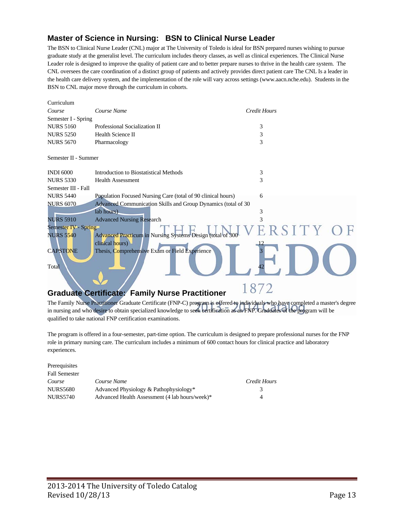#### **Master of Science in Nursing: BSN to Clinical Nurse Leader**

The BSN to Clinical Nurse Leader (CNL) major at The University of Toledo is ideal for BSN prepared nurses wishing to pursue graduate study at the generalist level. The curriculum includes theory classes, as well as clinical experiences. The Clinical Nurse Leader role is designed to improve the quality of patient care and to better prepare nurses to thrive in the health care system. The CNL oversees the care coordination of a distinct group of patients and actively provides direct patient care The CNL Is a leader in the health care delivery system, and the implementation of the role will vary across settings (www.aacn.nche.edu). Students in the BSN to CNL major move through the curriculum in cohorts.

| Curriculum           |                                                               |                     |  |
|----------------------|---------------------------------------------------------------|---------------------|--|
| Course               | Course Name                                                   | <b>Credit Hours</b> |  |
| Semester I - Spring  |                                                               |                     |  |
| <b>NURS 5160</b>     | Professional Socialization II                                 | 3                   |  |
| <b>NURS 5250</b>     | Health Science II                                             | 3                   |  |
| <b>NURS 5670</b>     | Pharmacology                                                  | 3                   |  |
| Semester II - Summer |                                                               |                     |  |
| <b>INDI 6000</b>     | Introduction to Biostatistical Methods                        | 3                   |  |
| <b>NURS 5330</b>     | <b>Health Assessment</b>                                      | 3                   |  |
| Semester III - Fall  |                                                               |                     |  |
| <b>NURS 5440</b>     | Population Focused Nursing Care (total of 90 clinical hours)  | 6                   |  |
| <b>NURS 6070</b>     | Advanced Communication Skills and Group Dynamics (total of 30 |                     |  |
|                      | lab hours)                                                    | 3                   |  |
| <b>NURS 5910</b>     | <b>Advanced Nursing Research</b>                              | 3                   |  |
| Semester IV - Spring |                                                               |                     |  |
| <b>NURS 5540</b>     | Advanced Practicum in Nursing Systems Design (total of 300    |                     |  |
|                      | clinical hours)                                               |                     |  |
| <b>CAPSTONE</b>      | Thesis, Comprehensive Exam or Field Experience                |                     |  |
| Total                |                                                               |                     |  |
|                      |                                                               |                     |  |
|                      | <b>Graduate Certificate: Family Nurse Practitioner</b>        |                     |  |

The Family Nurse Practitioner Graduate Certificate (FNP-C) program is offered to individuals who have completed a master's degree in nursing and who desire to obtain specialized knowledge to seek certification as an FNP. Graduates of the program will be qualified to take national FNP certification examinations.

The program is offered in a four-semester, part-time option. The curriculum is designed to prepare professional nurses for the FNP role in primary nursing care. The curriculum includes a minimum of 600 contact hours for clinical practice and laboratory experiences.

| Prerequisites        |                                                |              |
|----------------------|------------------------------------------------|--------------|
| <b>Fall Semester</b> |                                                |              |
| Course               | Course Name                                    | Credit Hours |
| <b>NURS5680</b>      | Advanced Physiology & Pathophysiology*         |              |
| <b>NURS5740</b>      | Advanced Health Assessment (4 lab hours/week)* | 4            |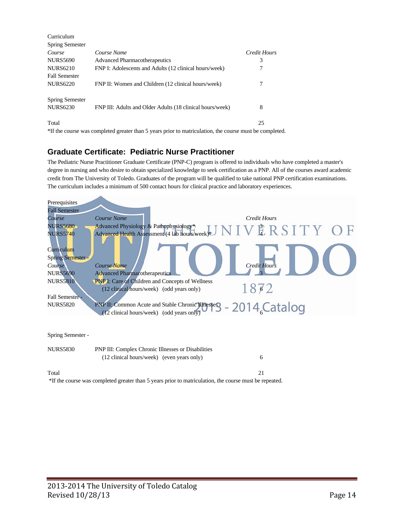| Curriculum             |                                                                                                         |              |
|------------------------|---------------------------------------------------------------------------------------------------------|--------------|
| <b>Spring Semester</b> |                                                                                                         |              |
| Course                 | Course Name                                                                                             | Credit Hours |
| <b>NURS5690</b>        | <b>Advanced Pharmacotherapeutics</b>                                                                    | 3            |
| <b>NURS6210</b>        | FNP I: Adolescents and Adults (12 clinical hours/week)                                                  | 7            |
| <b>Fall Semester</b>   |                                                                                                         |              |
| <b>NURS6220</b>        | FNP II: Women and Children (12 clinical hours/week)                                                     | 7            |
| <b>Spring Semester</b> |                                                                                                         |              |
| <b>NURS6230</b>        | FNP III: Adults and Older Adults (18 clinical hours/week)                                               | 8            |
| Total                  |                                                                                                         | 25           |
|                        | *If the course was completed greater than 5 years prior to matriculation, the course must be completed. |              |

#### **Graduate Certificate: Pediatric Nurse Practitioner**

The Pediatric Nurse Practitioner Graduate Certificate (PNP-C) program is offered to individuals who have completed a master's degree in nursing and who desire to obtain specialized knowledge to seek certification as a PNP. All of the courses award academic credit from The University of Toledo. Graduates of the program will be qualified to take national PNP certification examinations. The curriculum includes a minimum of 500 contact hours for clinical practice and laboratory experiences.

| Prerequisites<br><b>Fall Semester</b>                     |                                                                                                                      |
|-----------------------------------------------------------|----------------------------------------------------------------------------------------------------------------------|
| Course                                                    | Course Name<br>Credit Hours                                                                                          |
| <b>NURS5680</b>                                           | Advanced Physiology & Pathophysiology*<br>Advanced Health Assessment (4 lab hours/week)* $J N I V$ $R S I T Y$ $O F$ |
| <b>NURS5740</b><br>Curriculum<br><b>Spring Semester -</b> |                                                                                                                      |
| Course                                                    | <b>Credit Hours</b><br>Course Name                                                                                   |
| <b>NURS5690</b>                                           | <b>Advanced Pharmacotherapeutics</b>                                                                                 |
| <b>NURS5810</b>                                           | <b>PNP I:</b> Care of Children and Concepts of Wellness<br>1872<br>(12 clinical hours/week) (odd years only)         |
| <b>Fall Semester -</b>                                    |                                                                                                                      |
| <b>NURS5820</b>                                           | PNP II: Common Acute and Stable Chronic Illusters - 2014 Catalog<br>(12 clinical hours/week) (odd years only)        |
|                                                           |                                                                                                                      |
| Spring Semester -                                         |                                                                                                                      |
| <b>NURS5830</b>                                           | PNP III: Complex Chronic Illnesses or Disabilities<br>(12 clinical hours/week) (even years only)<br>6                |

#### Total 21

\*If the course was completed greater than 5 years prior to matriculation, the course must be repeated.